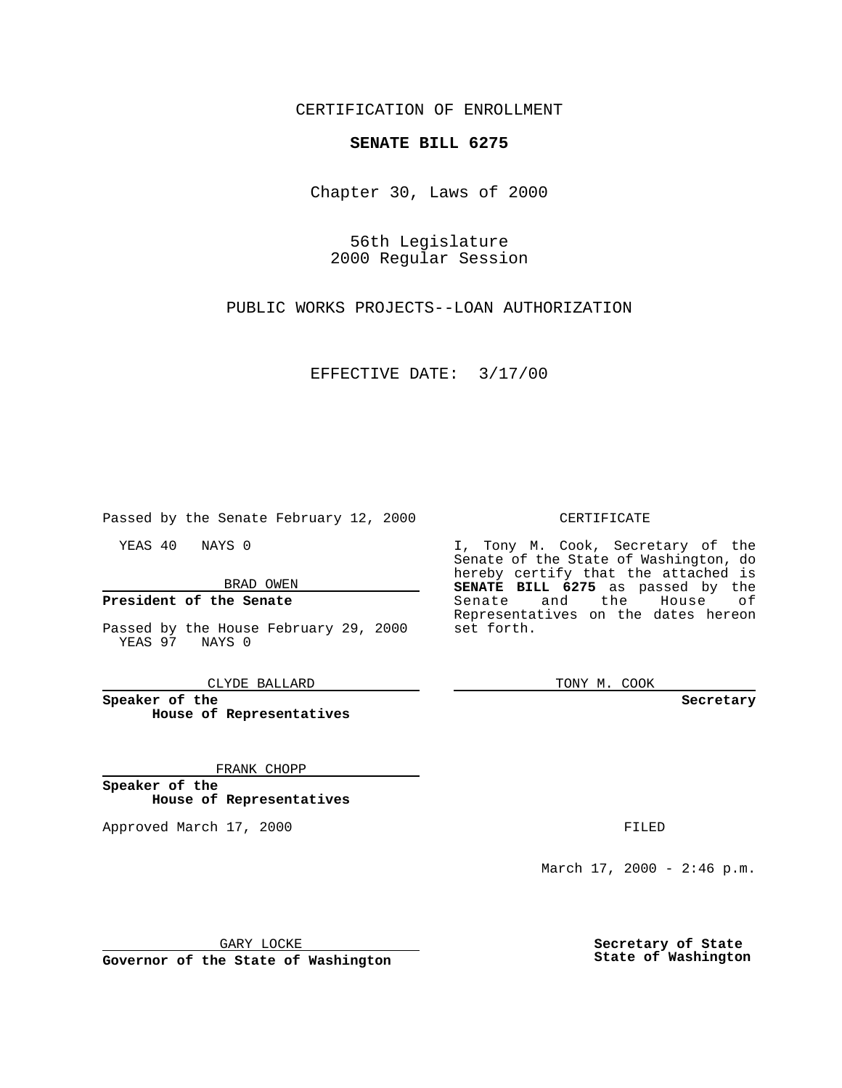CERTIFICATION OF ENROLLMENT

## **SENATE BILL 6275**

Chapter 30, Laws of 2000

56th Legislature 2000 Regular Session

PUBLIC WORKS PROJECTS--LOAN AUTHORIZATION

EFFECTIVE DATE: 3/17/00

Passed by the Senate February 12, 2000

YEAS 40 NAYS 0

BRAD OWEN

### **President of the Senate**

Passed by the House February 29, 2000 YEAS 97 NAYS 0

CLYDE BALLARD

**Speaker of the House of Representatives**

#### FRANK CHOPP

**Speaker of the House of Representatives**

Approved March 17, 2000 FILED

#### CERTIFICATE

I, Tony M. Cook, Secretary of the Senate of the State of Washington, do hereby certify that the attached is **SENATE BILL 6275** as passed by the Senate and the House of Representatives on the dates hereon set forth.

TONY M. COOK

**Secretary**

March  $17, 2000 - 2:46 p.m.$ 

GARY LOCKE

**Governor of the State of Washington**

**Secretary of State State of Washington**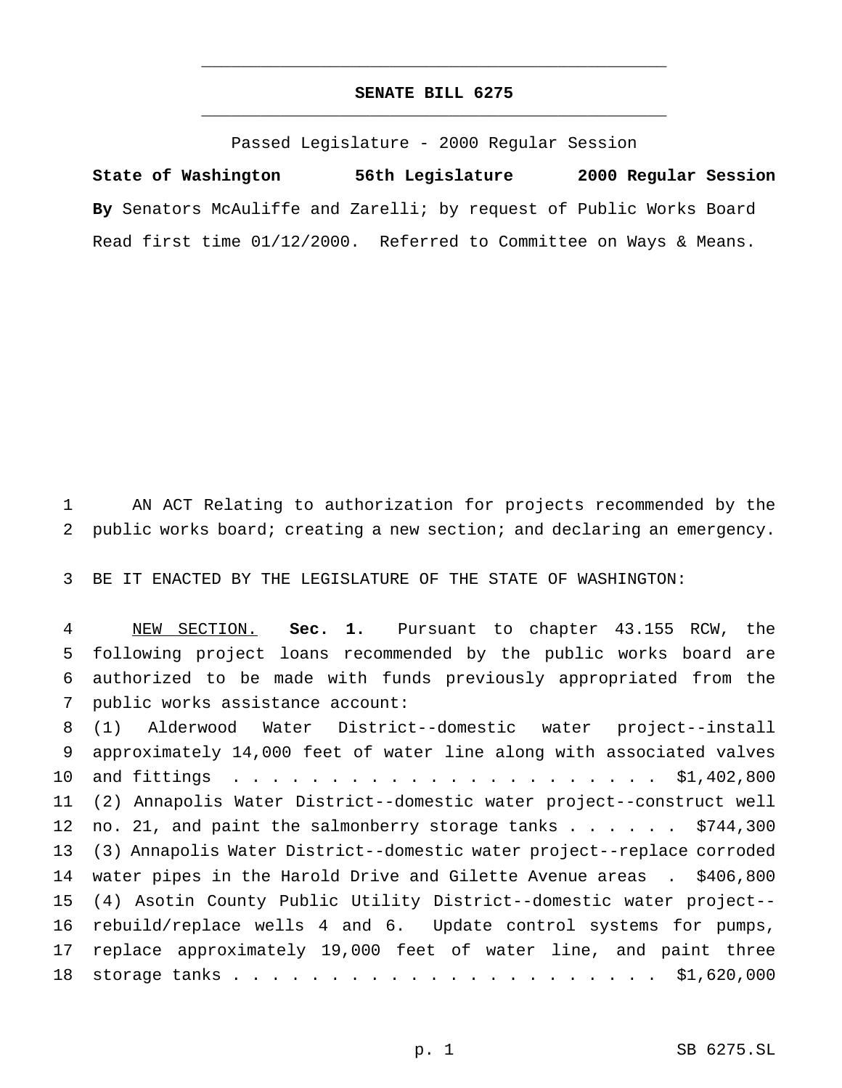# **SENATE BILL 6275** \_\_\_\_\_\_\_\_\_\_\_\_\_\_\_\_\_\_\_\_\_\_\_\_\_\_\_\_\_\_\_\_\_\_\_\_\_\_\_\_\_\_\_\_\_\_\_

\_\_\_\_\_\_\_\_\_\_\_\_\_\_\_\_\_\_\_\_\_\_\_\_\_\_\_\_\_\_\_\_\_\_\_\_\_\_\_\_\_\_\_\_\_\_\_

Passed Legislature - 2000 Regular Session

**State of Washington 56th Legislature 2000 Regular Session By** Senators McAuliffe and Zarelli; by request of Public Works Board Read first time 01/12/2000. Referred to Committee on Ways & Means.

 AN ACT Relating to authorization for projects recommended by the public works board; creating a new section; and declaring an emergency.

BE IT ENACTED BY THE LEGISLATURE OF THE STATE OF WASHINGTON:

 NEW SECTION. **Sec. 1.** Pursuant to chapter 43.155 RCW, the following project loans recommended by the public works board are authorized to be made with funds previously appropriated from the public works assistance account:

 (1) Alderwood Water District--domestic water project--install approximately 14,000 feet of water line along with associated valves and fittings ...................... \$1,402,800 (2) Annapolis Water District--domestic water project--construct well 12 no. 21, and paint the salmonberry storage tanks . . . . . . \$744,300 (3) Annapolis Water District--domestic water project--replace corroded water pipes in the Harold Drive and Gilette Avenue areas . \$406,800 (4) Asotin County Public Utility District--domestic water project-- rebuild/replace wells 4 and 6. Update control systems for pumps, replace approximately 19,000 feet of water line, and paint three storage tanks...................... \$1,620,000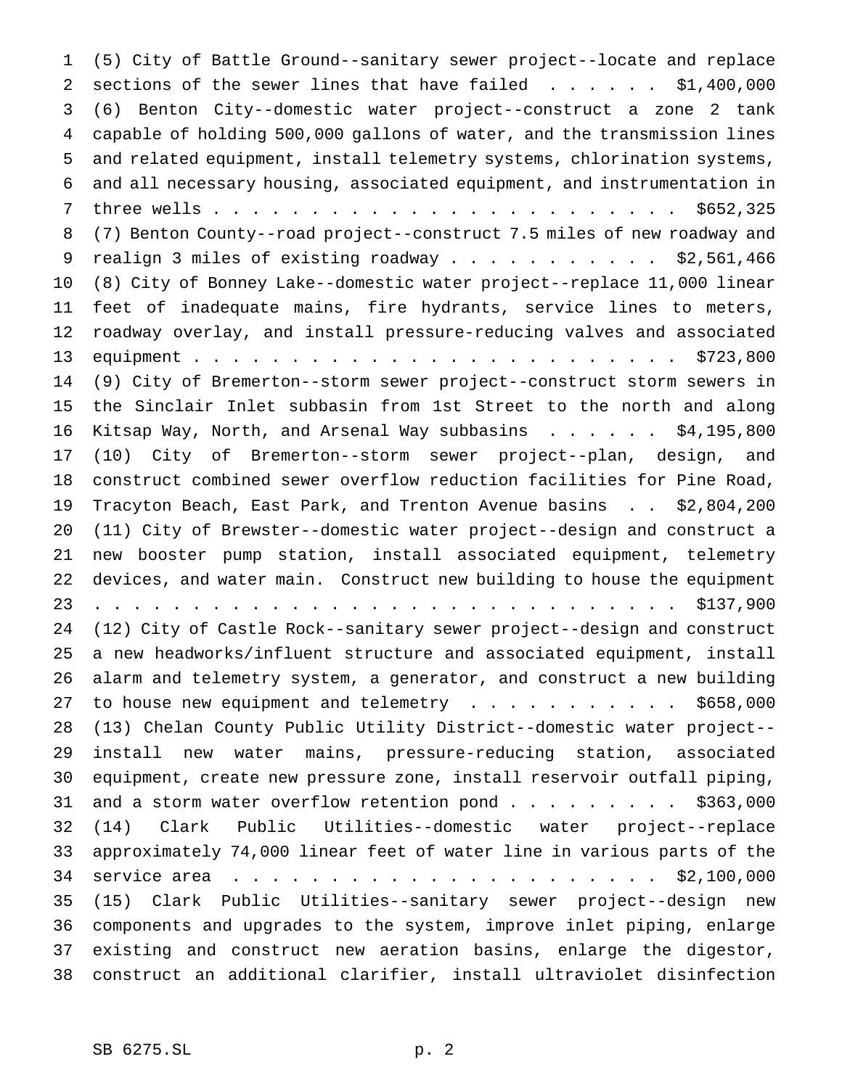(5) City of Battle Ground--sanitary sewer project--locate and replace 2 sections of the sewer lines that have failed . . . . . . \$1,400,000 (6) Benton City--domestic water project--construct a zone 2 tank capable of holding 500,000 gallons of water, and the transmission lines and related equipment, install telemetry systems, chlorination systems, and all necessary housing, associated equipment, and instrumentation in three wells........................ \$652,325 (7) Benton County--road project--construct 7.5 miles of new roadway and 9 realign 3 miles of existing roadway . . . . . . . . . . \$2,561,466 (8) City of Bonney Lake--domestic water project--replace 11,000 linear feet of inadequate mains, fire hydrants, service lines to meters, roadway overlay, and install pressure-reducing valves and associated equipment......................... \$723,800 (9) City of Bremerton--storm sewer project--construct storm sewers in the Sinclair Inlet subbasin from 1st Street to the north and along Kitsap Way, North, and Arsenal Way subbasins ...... \$4,195,800 (10) City of Bremerton--storm sewer project--plan, design, and construct combined sewer overflow reduction facilities for Pine Road, Tracyton Beach, East Park, and Trenton Avenue basins . . \$2,804,200 (11) City of Brewster--domestic water project--design and construct a new booster pump station, install associated equipment, telemetry devices, and water main. Construct new building to house the equipment .............................. \$137,900 (12) City of Castle Rock--sanitary sewer project--design and construct a new headworks/influent structure and associated equipment, install alarm and telemetry system, a generator, and construct a new building 27 to house new equipment and telemetry  $\ldots$ .......... \$658,000 (13) Chelan County Public Utility District--domestic water project-- install new water mains, pressure-reducing station, associated equipment, create new pressure zone, install reservoir outfall piping, 31 and a storm water overflow retention pond . . . . . . . . \$363,000 (14) Clark Public Utilities--domestic water project--replace approximately 74,000 linear feet of water line in various parts of the service area ...................... \$2,100,000 (15) Clark Public Utilities--sanitary sewer project--design new components and upgrades to the system, improve inlet piping, enlarge existing and construct new aeration basins, enlarge the digestor, construct an additional clarifier, install ultraviolet disinfection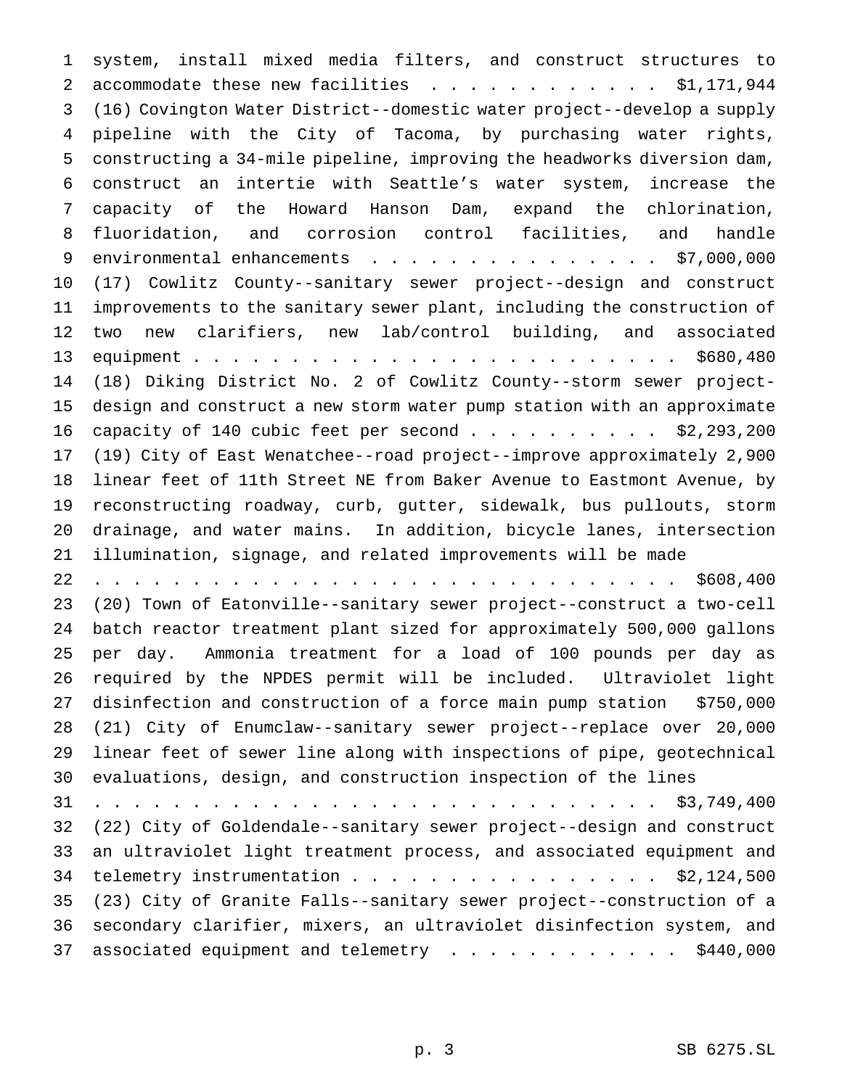system, install mixed media filters, and construct structures to 2 accommodate these new facilities . . . . . . . . . . . \$1,171,944 (16) Covington Water District--domestic water project--develop a supply pipeline with the City of Tacoma, by purchasing water rights, constructing a 34-mile pipeline, improving the headworks diversion dam, construct an intertie with Seattle's water system, increase the capacity of the Howard Hanson Dam, expand the chlorination, fluoridation, and corrosion control facilities, and handle 9 environmental enhancements . . . . . . . . . . . . . . . \$7,000,000 (17) Cowlitz County--sanitary sewer project--design and construct improvements to the sanitary sewer plant, including the construction of two new clarifiers, new lab/control building, and associated equipment......................... \$680,480 (18) Diking District No. 2 of Cowlitz County--storm sewer project- design and construct a new storm water pump station with an approximate 16 capacity of 140 cubic feet per second . . . . . . . . . \$2,293,200 (19) City of East Wenatchee--road project--improve approximately 2,900 linear feet of 11th Street NE from Baker Avenue to Eastmont Avenue, by reconstructing roadway, curb, gutter, sidewalk, bus pullouts, storm drainage, and water mains. In addition, bicycle lanes, intersection illumination, signage, and related improvements will be made .............................. \$608,400 (20) Town of Eatonville--sanitary sewer project--construct a two-cell batch reactor treatment plant sized for approximately 500,000 gallons per day. Ammonia treatment for a load of 100 pounds per day as required by the NPDES permit will be included. Ultraviolet light disinfection and construction of a force main pump station \$750,000 (21) City of Enumclaw--sanitary sewer project--replace over 20,000 linear feet of sewer line along with inspections of pipe, geotechnical evaluations, design, and construction inspection of the lines ............................. \$3,749,400 (22) City of Goldendale--sanitary sewer project--design and construct an ultraviolet light treatment process, and associated equipment and 34 telemetry instrumentation . . . . . . . . . . . . . . . . \$2,124,500 (23) City of Granite Falls--sanitary sewer project--construction of a secondary clarifier, mixers, an ultraviolet disinfection system, and 37 associated equipment and telemetry . . . . . . . . . . . . \$440,000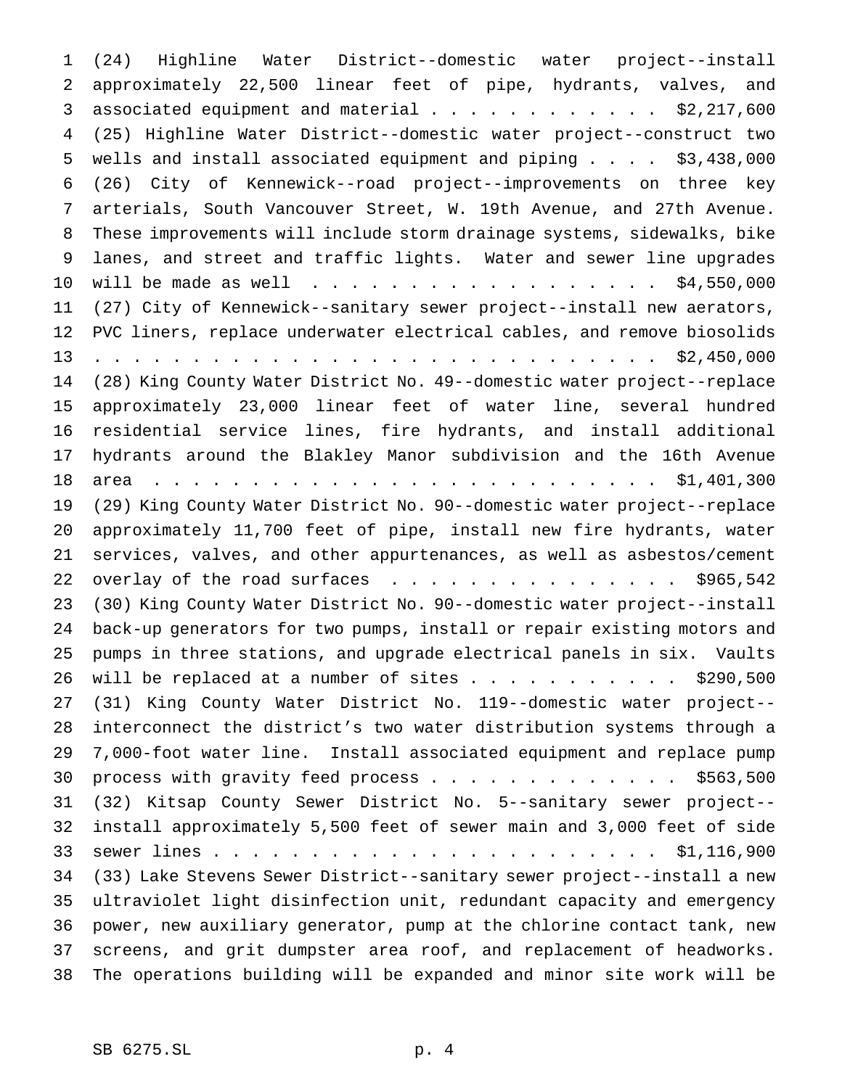(24) Highline Water District--domestic water project--install approximately 22,500 linear feet of pipe, hydrants, valves, and 3 associated equipment and material.............. \$2,217,600 (25) Highline Water District--domestic water project--construct two wells and install associated equipment and piping.... \$3,438,000 (26) City of Kennewick--road project--improvements on three key arterials, South Vancouver Street, W. 19th Avenue, and 27th Avenue. These improvements will include storm drainage systems, sidewalks, bike lanes, and street and traffic lights. Water and sewer line upgrades 10 will be made as well . . . . . . . . . . . . . . . . . \$4,550,000 (27) City of Kennewick--sanitary sewer project--install new aerators, PVC liners, replace underwater electrical cables, and remove biosolids ............................. \$2,450,000 (28) King County Water District No. 49--domestic water project--replace approximately 23,000 linear feet of water line, several hundred residential service lines, fire hydrants, and install additional hydrants around the Blakley Manor subdivision and the 16th Avenue area .......................... \$1,401,300 (29) King County Water District No. 90--domestic water project--replace approximately 11,700 feet of pipe, install new fire hydrants, water services, valves, and other appurtenances, as well as asbestos/cement 22 overlay of the road surfaces . . . . . . . . . . . . . . \$965,542 (30) King County Water District No. 90--domestic water project--install back-up generators for two pumps, install or repair existing motors and pumps in three stations, and upgrade electrical panels in six. Vaults 26 will be replaced at a number of sites  $\ldots$ ......... \$290,500 (31) King County Water District No. 119--domestic water project-- interconnect the district's two water distribution systems through a 7,000-foot water line. Install associated equipment and replace pump 30 process with gravity feed process . . . . . . . . . . . . . \$563,500 (32) Kitsap County Sewer District No. 5--sanitary sewer project-- install approximately 5,500 feet of sewer main and 3,000 feet of side sewer lines....................... \$1,116,900 (33) Lake Stevens Sewer District--sanitary sewer project--install a new ultraviolet light disinfection unit, redundant capacity and emergency power, new auxiliary generator, pump at the chlorine contact tank, new screens, and grit dumpster area roof, and replacement of headworks. The operations building will be expanded and minor site work will be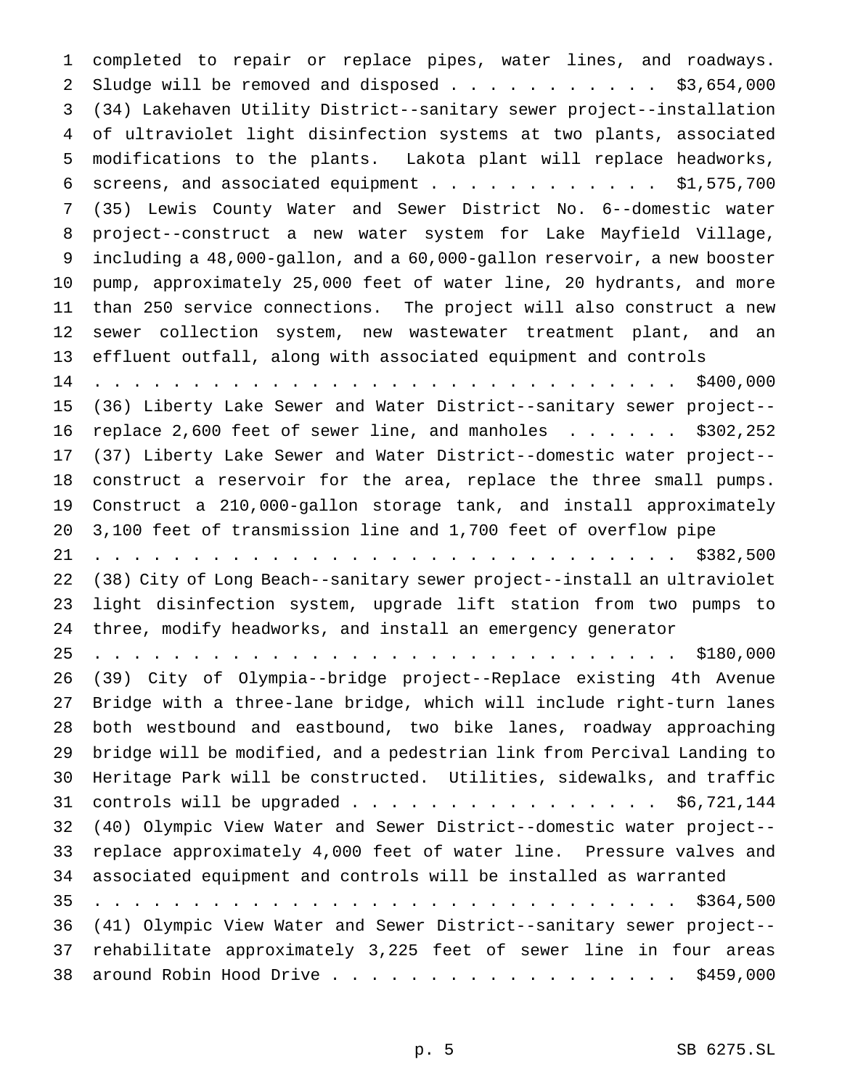completed to repair or replace pipes, water lines, and roadways. 2 Sludge will be removed and disposed . . . . . . . . . . \$3,654,000 (34) Lakehaven Utility District--sanitary sewer project--installation of ultraviolet light disinfection systems at two plants, associated modifications to the plants. Lakota plant will replace headworks, 6 screens, and associated equipment  $\ldots$ ............. \$1,575,700 (35) Lewis County Water and Sewer District No. 6--domestic water project--construct a new water system for Lake Mayfield Village, including a 48,000-gallon, and a 60,000-gallon reservoir, a new booster pump, approximately 25,000 feet of water line, 20 hydrants, and more than 250 service connections. The project will also construct a new sewer collection system, new wastewater treatment plant, and an effluent outfall, along with associated equipment and controls .............................. \$400,000 (36) Liberty Lake Sewer and Water District--sanitary sewer project-- replace 2,600 feet of sewer line, and manholes ...... \$302,252 (37) Liberty Lake Sewer and Water District--domestic water project-- construct a reservoir for the area, replace the three small pumps. Construct a 210,000-gallon storage tank, and install approximately 3,100 feet of transmission line and 1,700 feet of overflow pipe .............................. \$382,500 (38) City of Long Beach--sanitary sewer project--install an ultraviolet light disinfection system, upgrade lift station from two pumps to three, modify headworks, and install an emergency generator .............................. \$180,000 (39) City of Olympia--bridge project--Replace existing 4th Avenue Bridge with a three-lane bridge, which will include right-turn lanes both westbound and eastbound, two bike lanes, roadway approaching bridge will be modified, and a pedestrian link from Percival Landing to Heritage Park will be constructed. Utilities, sidewalks, and traffic 31 controls will be upgraded . . . . . . . . . . . . . . . . \$6,721,144 (40) Olympic View Water and Sewer District--domestic water project-- replace approximately 4,000 feet of water line. Pressure valves and associated equipment and controls will be installed as warranted .............................. \$364,500 (41) Olympic View Water and Sewer District--sanitary sewer project-- rehabilitate approximately 3,225 feet of sewer line in four areas around Robin Hood Drive.................. \$459,000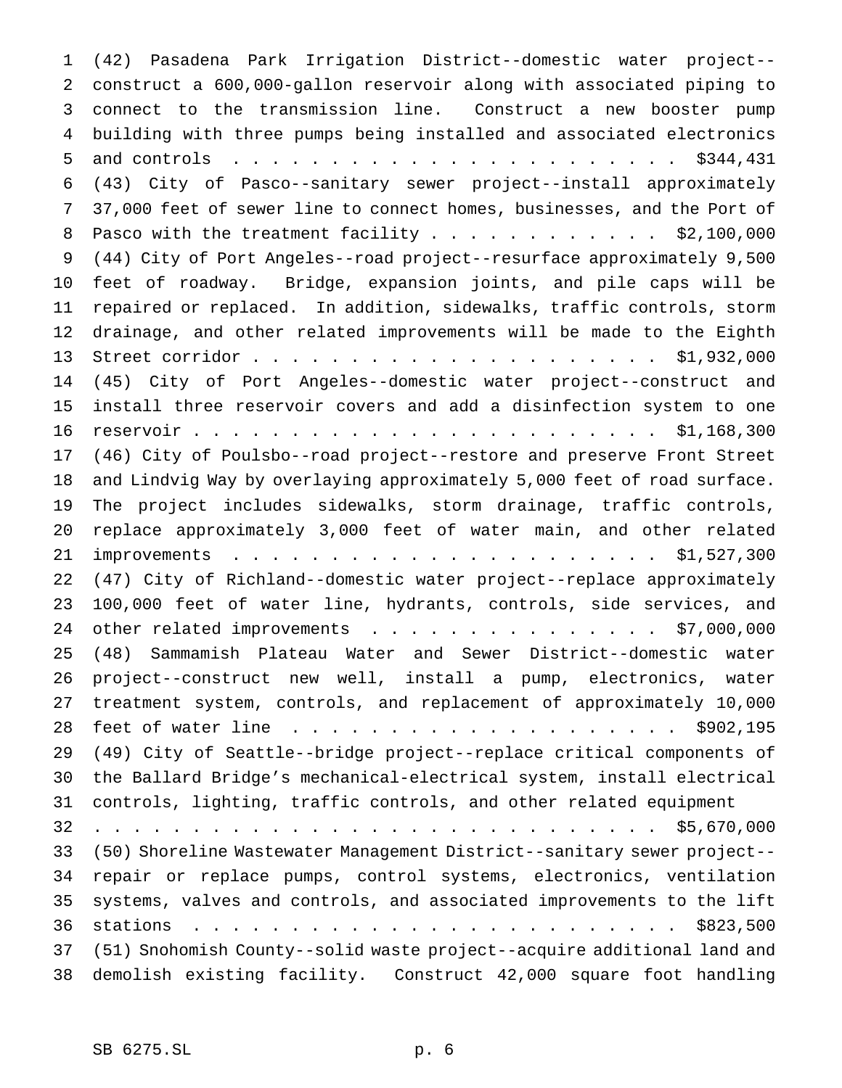(42) Pasadena Park Irrigation District--domestic water project-- construct a 600,000-gallon reservoir along with associated piping to connect to the transmission line. Construct a new booster pump building with three pumps being installed and associated electronics and controls ....................... \$344,431 (43) City of Pasco--sanitary sewer project--install approximately 37,000 feet of sewer line to connect homes, businesses, and the Port of 8 Pasco with the treatment facility . . . . . . . . . . . \$2,100,000 (44) City of Port Angeles--road project--resurface approximately 9,500 feet of roadway. Bridge, expansion joints, and pile caps will be repaired or replaced. In addition, sidewalks, traffic controls, storm drainage, and other related improvements will be made to the Eighth Street corridor..................... \$1,932,000 (45) City of Port Angeles--domestic water project--construct and install three reservoir covers and add a disinfection system to one reservoir........................ \$1,168,300 (46) City of Poulsbo--road project--restore and preserve Front Street and Lindvig Way by overlaying approximately 5,000 feet of road surface. The project includes sidewalks, storm drainage, traffic controls, replace approximately 3,000 feet of water main, and other related improvements ...................... \$1,527,300 (47) City of Richland--domestic water project--replace approximately 100,000 feet of water line, hydrants, controls, side services, and 24 other related improvements . . . . . . . . . . . . . . . \$7,000,000 (48) Sammamish Plateau Water and Sewer District--domestic water project--construct new well, install a pump, electronics, water treatment system, controls, and replacement of approximately 10,000 feet of water line .................... \$902,195 (49) City of Seattle--bridge project--replace critical components of the Ballard Bridge's mechanical-electrical system, install electrical controls, lighting, traffic controls, and other related equipment ............................. \$5,670,000 (50) Shoreline Wastewater Management District--sanitary sewer project-- repair or replace pumps, control systems, electronics, ventilation systems, valves and controls, and associated improvements to the lift stations ......................... \$823,500 (51) Snohomish County--solid waste project--acquire additional land and demolish existing facility. Construct 42,000 square foot handling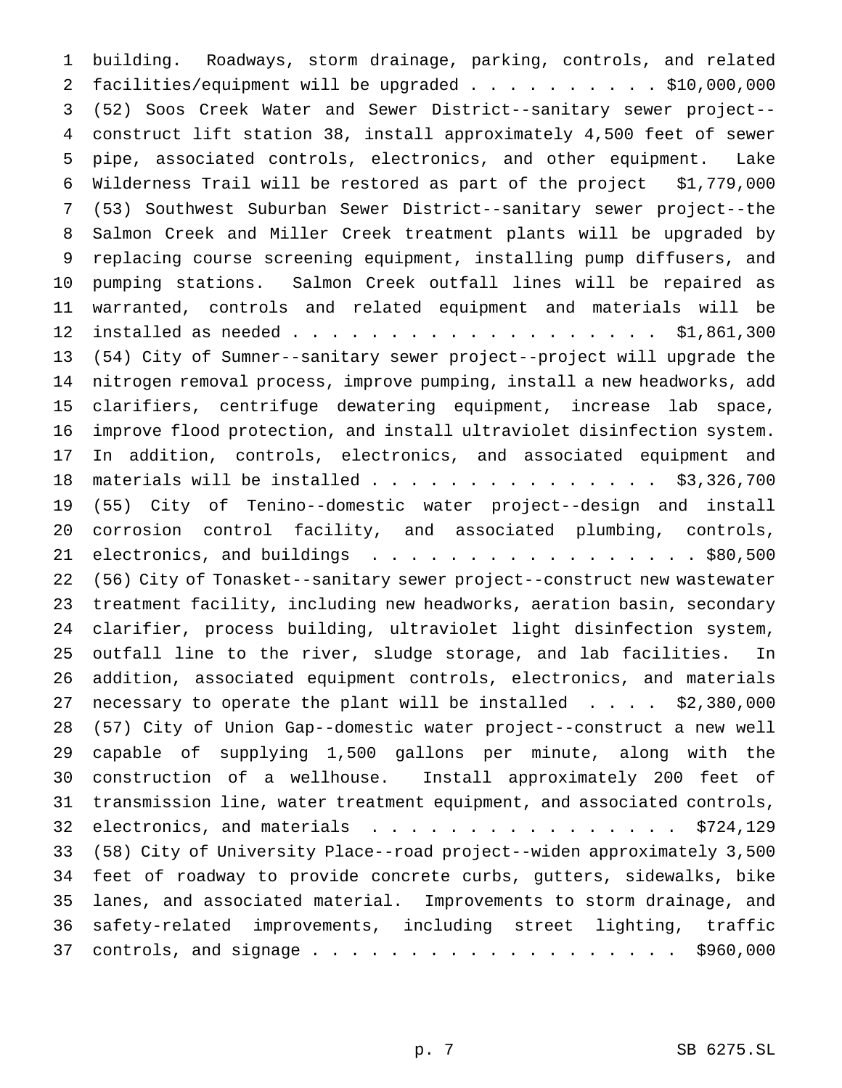building. Roadways, storm drainage, parking, controls, and related facilities/equipment will be upgraded.......... \$10,000,000 (52) Soos Creek Water and Sewer District--sanitary sewer project-- construct lift station 38, install approximately 4,500 feet of sewer pipe, associated controls, electronics, and other equipment. Lake Wilderness Trail will be restored as part of the project \$1,779,000 (53) Southwest Suburban Sewer District--sanitary sewer project--the Salmon Creek and Miller Creek treatment plants will be upgraded by replacing course screening equipment, installing pump diffusers, and pumping stations. Salmon Creek outfall lines will be repaired as warranted, controls and related equipment and materials will be installed as needed................... \$1,861,300 (54) City of Sumner--sanitary sewer project--project will upgrade the nitrogen removal process, improve pumping, install a new headworks, add clarifiers, centrifuge dewatering equipment, increase lab space, improve flood protection, and install ultraviolet disinfection system. In addition, controls, electronics, and associated equipment and 18 materials will be installed . . . . . . . . . . . . . . . \$3,326,700 (55) City of Tenino--domestic water project--design and install corrosion control facility, and associated plumbing, controls, 21 electronics, and buildings . . . . . . . . . . . . . . . . \$80,500 (56) City of Tonasket--sanitary sewer project--construct new wastewater treatment facility, including new headworks, aeration basin, secondary clarifier, process building, ultraviolet light disinfection system, outfall line to the river, sludge storage, and lab facilities. In addition, associated equipment controls, electronics, and materials necessary to operate the plant will be installed .... \$2,380,000 (57) City of Union Gap--domestic water project--construct a new well capable of supplying 1,500 gallons per minute, along with the construction of a wellhouse. Install approximately 200 feet of transmission line, water treatment equipment, and associated controls, 32 electronics, and materials  $\ldots$ ......................... \$724,129 (58) City of University Place--road project--widen approximately 3,500 feet of roadway to provide concrete curbs, gutters, sidewalks, bike lanes, and associated material. Improvements to storm drainage, and safety-related improvements, including street lighting, traffic 37 controls, and signage  $\ldots$ .............................\$960,000